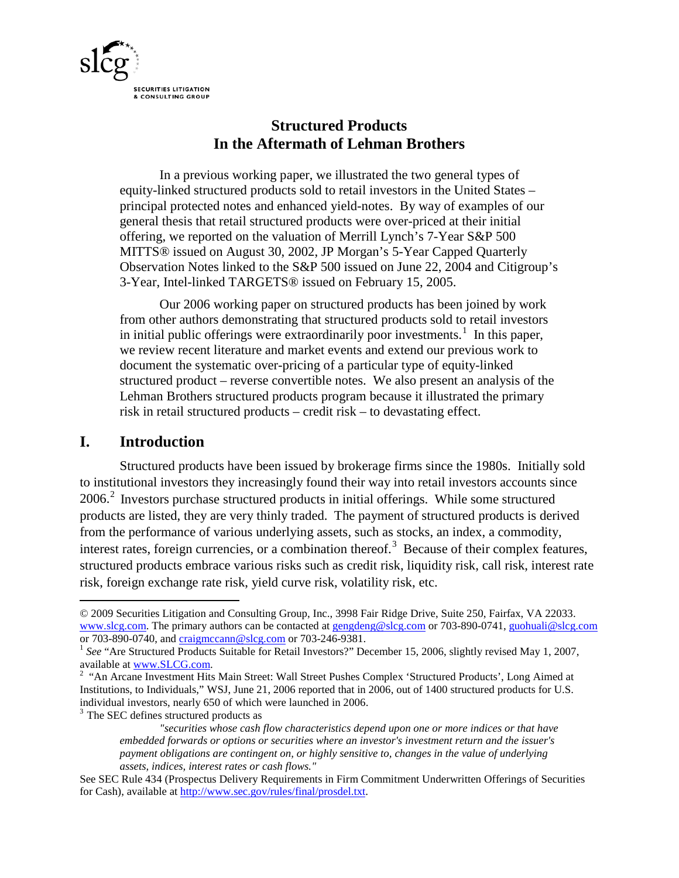

# **Structured Products In the Aftermath of Lehman Brothers**

In a previous working paper, we illustrated the two general types of equity-linked structured products sold to retail investors in the United States – principal protected notes and enhanced yield-notes. By way of examples of our general thesis that retail structured products were over-priced at their initial offering, we reported on the valuation of Merrill Lynch's 7-Year S&P 500 MITTS® issued on August 30, 2002, JP Morgan's 5-Year Capped Quarterly Observation Notes linked to the S&P 500 issued on June 22, 2004 and Citigroup's 3-Year, Intel-linked TARGETS® issued on February 15, 2005.

Our 2006 working paper on structured products has been joined by work from other authors demonstrating that structured products sold to retail investors in initial public offerings were extraordinarily poor investments.<sup>[1](#page-0-0)</sup> In this paper, we review recent literature and market events and extend our previous work to document the systematic over-pricing of a particular type of equity-linked structured product – reverse convertible notes. We also present an analysis of the Lehman Brothers structured products program because it illustrated the primary risk in retail structured products – credit risk – to devastating effect.

# **I. Introduction**

 $\overline{a}$ 

Structured products have been issued by brokerage firms since the 1980s. Initially sold to institutional investors they increasingly found their way into retail investors accounts since 2006.[2](#page-0-1) Investors purchase structured products in initial offerings. While some structured products are listed, they are very thinly traded. The payment of structured products is derived from the performance of various underlying assets, such as stocks, an index, a commodity, interest rates, foreign currencies, or a combination thereof.<sup>[3](#page-0-2)</sup> Because of their complex features, structured products embrace various risks such as credit risk, liquidity risk, call risk, interest rate risk, foreign exchange rate risk, yield curve risk, volatility risk, etc.

<span id="page-0-2"></span><sup>3</sup> The SEC defines structured products as

<span id="page-0-0"></span><sup>© 2009</sup> Securities Litigation and Consulting Group, Inc., 3998 Fair Ridge Drive, Suite 250, Fairfax, VA 22033. [www.slcg.com.](http://www.slcg.com/) The primary authors can be contacted at [gengdeng@slcg.com](mailto:gengdeng@slcg.com) or 703-890-0741, [guohuali@slcg.com](mailto:guohuali@slcg.com) or 703-890-0740, and *[craigmccann@slcg.com](mailto:craigmccann@slcg.com)* or 703-246-9381.<br><sup>1</sup> *See* "Are Structured Products Suitable for Retail Investors?" December 15, 2006, slightly revised May 1, 2007,

available at [www.SLCG.com.](http://www.slcg.com/) <sup>2</sup>

<span id="page-0-1"></span><sup>&</sup>lt;sup>2</sup> "An Arcane Investment Hits Main Street: Wall Street Pushes Complex 'Structured Products', Long Aimed at Institutions, to Individuals," WSJ, June 21, 2006 reported that in 2006, out of 1400 structured products for U.S. individual investors, nearly 650 of which were launched in 2006.

*<sup>&</sup>quot;securities whose cash flow characteristics depend upon one or more indices or that have embedded forwards or options or securities where an investor's investment return and the issuer's payment obligations are contingent on, or highly sensitive to, changes in the value of underlying assets, indices, interest rates or cash flows."*

See SEC Rule 434 (Prospectus Delivery Requirements in Firm Commitment Underwritten Offerings of Securities for Cash), available at [http://www.sec.gov/rules/final/prosdel.txt.](http://www.sec.gov/rules/final/prosdel.txt)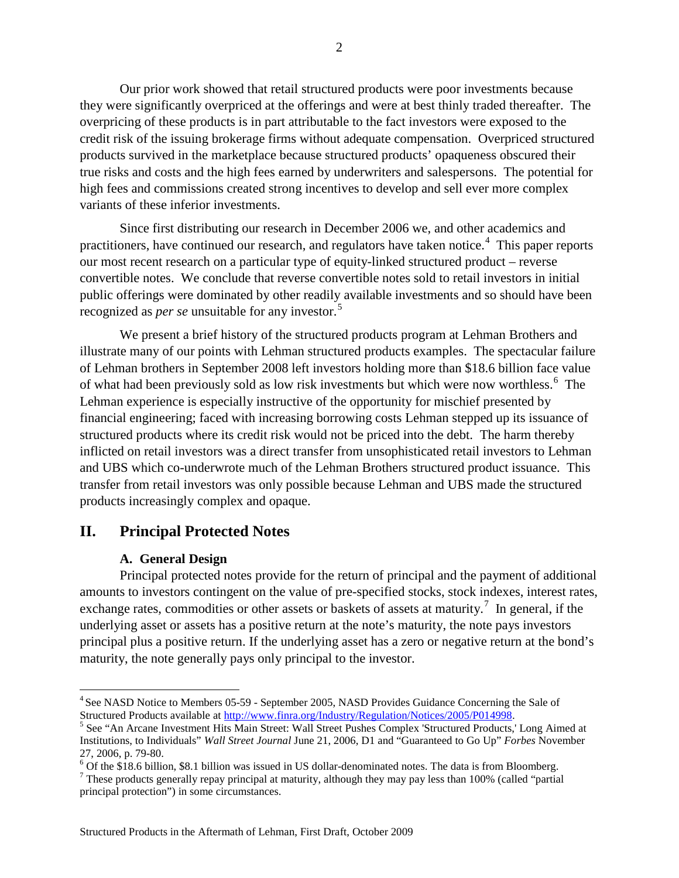Our prior work showed that retail structured products were poor investments because they were significantly overpriced at the offerings and were at best thinly traded thereafter. The overpricing of these products is in part attributable to the fact investors were exposed to the credit risk of the issuing brokerage firms without adequate compensation. Overpriced structured products survived in the marketplace because structured products' opaqueness obscured their true risks and costs and the high fees earned by underwriters and salespersons. The potential for high fees and commissions created strong incentives to develop and sell ever more complex variants of these inferior investments.

Since first distributing our research in December 2006 we, and other academics and practitioners, have continued our research, and regulators have taken notice.<sup>[4](#page-1-0)</sup> This paper reports our most recent research on a particular type of equity-linked structured product – reverse convertible notes. We conclude that reverse convertible notes sold to retail investors in initial public offerings were dominated by other readily available investments and so should have been recognized as *per se* unsuitable for any investor.<sup>[5](#page-1-1)</sup>

We present a brief history of the structured products program at Lehman Brothers and illustrate many of our points with Lehman structured products examples. The spectacular failure of Lehman brothers in September 2008 left investors holding more than \$18.6 billion face value of what had been previously sold as low risk investments but which were now worthless.<sup>[6](#page-1-2)</sup> The Lehman experience is especially instructive of the opportunity for mischief presented by financial engineering; faced with increasing borrowing costs Lehman stepped up its issuance of structured products where its credit risk would not be priced into the debt. The harm thereby inflicted on retail investors was a direct transfer from unsophisticated retail investors to Lehman and UBS which co-underwrote much of the Lehman Brothers structured product issuance. This transfer from retail investors was only possible because Lehman and UBS made the structured products increasingly complex and opaque.

### **II. Principal Protected Notes**

#### **A. General Design**

Principal protected notes provide for the return of principal and the payment of additional amounts to investors contingent on the value of pre-specified stocks, stock indexes, interest rates, exchange rates, commodities or other assets or baskets of assets at maturity.<sup>[7](#page-1-3)</sup> In general, if the underlying asset or assets has a positive return at the note's maturity, the note pays investors principal plus a positive return. If the underlying asset has a zero or negative return at the bond's maturity, the note generally pays only principal to the investor.

<span id="page-1-0"></span> <sup>4</sup> See NASD Notice to Members 05-59 - September 2005, NASD Provides Guidance Concerning the Sale of Structured Products available at http://www.finra.org/Industry/Regulation/Notices/2005/P014998.

<span id="page-1-1"></span> $5$  See "An Arcane Investment Hits Main Street: Wall Street Pushes Complex 'Structured Products,' Long Aimed at Institutions, to Individuals" *Wall Street Journal* June 21, 2006, D1 and "Guaranteed to Go Up" *Forbes* November

<span id="page-1-3"></span><span id="page-1-2"></span>

<sup>27, 2006,</sup> p. 79-80.<br>
<sup>6</sup> Of the \$18.6 billion, \$8.1 billion was issued in US dollar-denominated notes. The data is from Bloomberg.<br>
<sup>7</sup> These products generally repay principal at maturity, although they may pay less than principal protection") in some circumstances.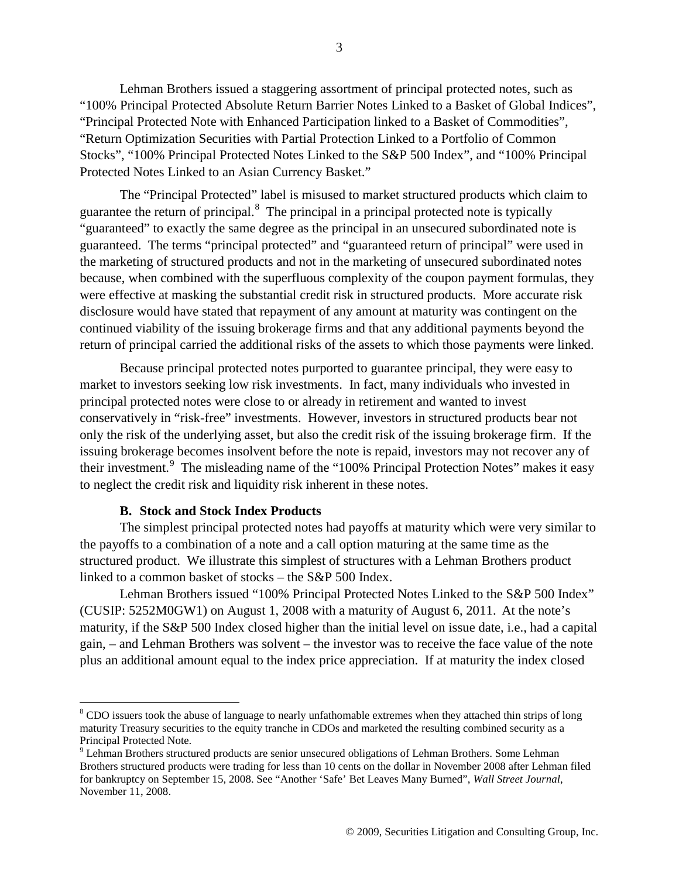Lehman Brothers issued a staggering assortment of principal protected notes, such as "100% Principal Protected Absolute Return Barrier Notes Linked to a Basket of Global Indices", "Principal Protected Note with Enhanced Participation linked to a Basket of Commodities", "Return Optimization Securities with Partial Protection Linked to a Portfolio of Common Stocks", "100% Principal Protected Notes Linked to the S&P 500 Index", and "100% Principal Protected Notes Linked to an Asian Currency Basket."

The "Principal Protected" label is misused to market structured products which claim to guarantee the return of principal.<sup>[8](#page-2-0)</sup> The principal in a principal protected note is typically "guaranteed" to exactly the same degree as the principal in an unsecured subordinated note is guaranteed. The terms "principal protected" and "guaranteed return of principal" were used in the marketing of structured products and not in the marketing of unsecured subordinated notes because, when combined with the superfluous complexity of the coupon payment formulas, they were effective at masking the substantial credit risk in structured products. More accurate risk disclosure would have stated that repayment of any amount at maturity was contingent on the continued viability of the issuing brokerage firms and that any additional payments beyond the return of principal carried the additional risks of the assets to which those payments were linked.

Because principal protected notes purported to guarantee principal, they were easy to market to investors seeking low risk investments. In fact, many individuals who invested in principal protected notes were close to or already in retirement and wanted to invest conservatively in "risk-free" investments. However, investors in structured products bear not only the risk of the underlying asset, but also the credit risk of the issuing brokerage firm. If the issuing brokerage becomes insolvent before the note is repaid, investors may not recover any of their investment.<sup>[9](#page-2-1)</sup> The misleading name of the "100% Principal Protection Notes" makes it easy to neglect the credit risk and liquidity risk inherent in these notes.

#### **B. Stock and Stock Index Products**

The simplest principal protected notes had payoffs at maturity which were very similar to the payoffs to a combination of a note and a call option maturing at the same time as the structured product. We illustrate this simplest of structures with a Lehman Brothers product linked to a common basket of stocks – the S&P 500 Index.

Lehman Brothers issued "100% Principal Protected Notes Linked to the S&P 500 Index" (CUSIP: 5252M0GW1) on August 1, 2008 with a maturity of August 6, 2011. At the note's maturity, if the S&P 500 Index closed higher than the initial level on issue date, i.e., had a capital gain, – and Lehman Brothers was solvent – the investor was to receive the face value of the note plus an additional amount equal to the index price appreciation. If at maturity the index closed

<span id="page-2-0"></span><sup>&</sup>lt;sup>8</sup> CDO issuers took the abuse of language to nearly unfathomable extremes when they attached thin strips of long maturity Treasury securities to the equity tranche in CDOs and marketed the resulting combined security as a Principal Protected Note.

<span id="page-2-1"></span><sup>&</sup>lt;sup>9</sup> Lehman Brothers structured products are senior unsecured obligations of Lehman Brothers. Some Lehman Brothers structured products were trading for less than 10 cents on the dollar in November 2008 after Lehman filed for bankruptcy on September 15, 2008. See "Another 'Safe' Bet Leaves Many Burned", *Wall Street Journal*, November 11, 2008.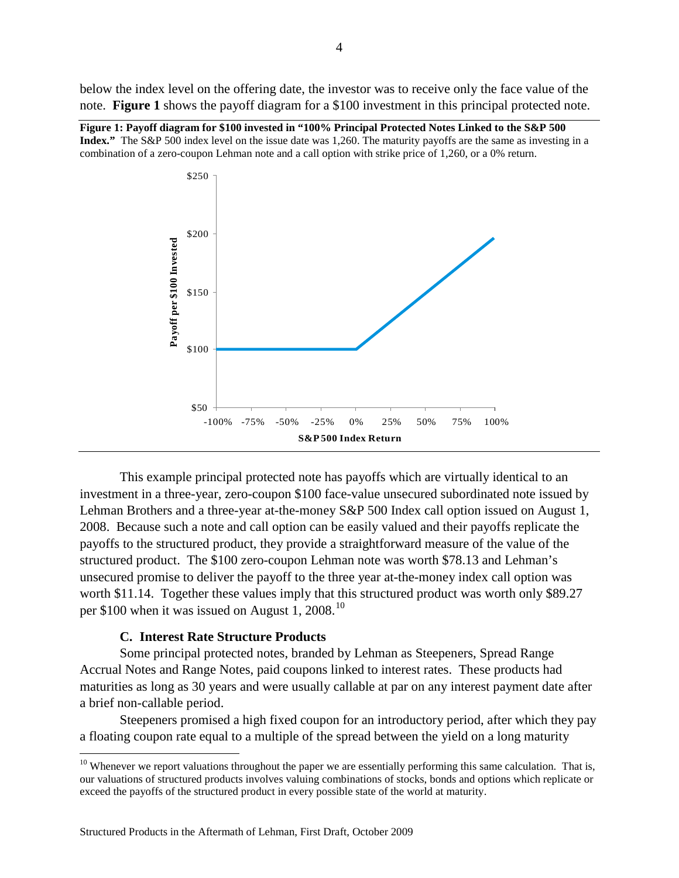below the index level on the offering date, the investor was to receive only the face value of the note. **[Figure 1](#page-3-0)** shows the payoff diagram for a \$100 investment in this principal protected note.

<span id="page-3-0"></span>**Figure 1: Payoff diagram for \$100 invested in "100% Principal Protected Notes Linked to the S&P 500 Index."** The S&P 500 index level on the issue date was 1,260. The maturity payoffs are the same as investing in a combination of a zero-coupon Lehman note and a call option with strike price of 1,260, or a 0% return.



This example principal protected note has payoffs which are virtually identical to an investment in a three-year, zero-coupon \$100 face-value unsecured subordinated note issued by Lehman Brothers and a three-year at-the-money S&P 500 Index call option issued on August 1, 2008. Because such a note and call option can be easily valued and their payoffs replicate the payoffs to the structured product, they provide a straightforward measure of the value of the structured product. The \$100 zero-coupon Lehman note was worth \$78.13 and Lehman's unsecured promise to deliver the payoff to the three year at-the-money index call option was worth \$11.14. Together these values imply that this structured product was worth only \$89.27 per \$[10](#page-3-1)0 when it was issued on August 1, 2008.<sup>10</sup>

#### **C. Interest Rate Structure Products**

Some principal protected notes, branded by Lehman as Steepeners, Spread Range Accrual Notes and Range Notes, paid coupons linked to interest rates. These products had maturities as long as 30 years and were usually callable at par on any interest payment date after a brief non-callable period.

Steepeners promised a high fixed coupon for an introductory period, after which they pay a floating coupon rate equal to a multiple of the spread between the yield on a long maturity

<span id="page-3-1"></span> $10$  Whenever we report valuations throughout the paper we are essentially performing this same calculation. That is, our valuations of structured products involves valuing combinations of stocks, bonds and options which replicate or exceed the payoffs of the structured product in every possible state of the world at maturity.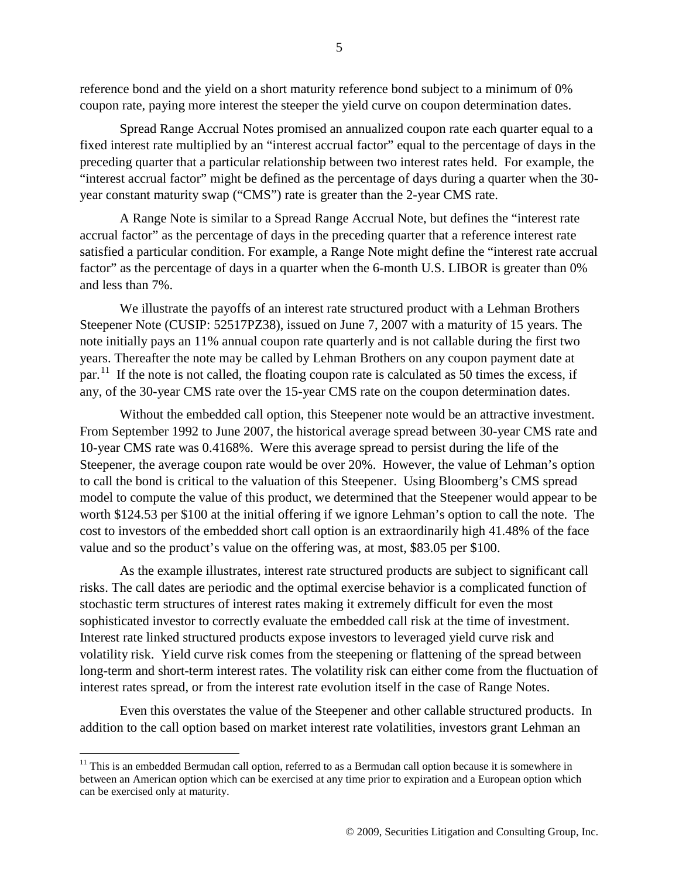reference bond and the yield on a short maturity reference bond subject to a minimum of 0% coupon rate, paying more interest the steeper the yield curve on coupon determination dates.

Spread Range Accrual Notes promised an annualized coupon rate each quarter equal to a fixed interest rate multiplied by an "interest accrual factor" equal to the percentage of days in the preceding quarter that a particular relationship between two interest rates held. For example, the "interest accrual factor" might be defined as the percentage of days during a quarter when the 30 year constant maturity swap ("CMS") rate is greater than the 2-year CMS rate.

A Range Note is similar to a Spread Range Accrual Note, but defines the "interest rate accrual factor" as the percentage of days in the preceding quarter that a reference interest rate satisfied a particular condition. For example, a Range Note might define the "interest rate accrual factor" as the percentage of days in a quarter when the 6-month U.S. LIBOR is greater than 0% and less than 7%.

We illustrate the payoffs of an interest rate structured product with a Lehman Brothers Steepener Note (CUSIP: 52517PZ38), issued on June 7, 2007 with a maturity of 15 years. The note initially pays an 11% annual coupon rate quarterly and is not callable during the first two years. Thereafter the note may be called by Lehman Brothers on any coupon payment date at par.<sup>[11](#page-4-0)</sup> If the note is not called, the floating coupon rate is calculated as 50 times the excess, if any, of the 30-year CMS rate over the 15-year CMS rate on the coupon determination dates.

Without the embedded call option, this Steepener note would be an attractive investment. From September 1992 to June 2007, the historical average spread between 30-year CMS rate and 10-year CMS rate was 0.4168%. Were this average spread to persist during the life of the Steepener, the average coupon rate would be over 20%. However, the value of Lehman's option to call the bond is critical to the valuation of this Steepener. Using Bloomberg's CMS spread model to compute the value of this product, we determined that the Steepener would appear to be worth \$124.53 per \$100 at the initial offering if we ignore Lehman's option to call the note. The cost to investors of the embedded short call option is an extraordinarily high 41.48% of the face value and so the product's value on the offering was, at most, \$83.05 per \$100.

As the example illustrates, interest rate structured products are subject to significant call risks. The call dates are periodic and the optimal exercise behavior is a complicated function of stochastic term structures of interest rates making it extremely difficult for even the most sophisticated investor to correctly evaluate the embedded call risk at the time of investment. Interest rate linked structured products expose investors to leveraged yield curve risk and volatility risk. Yield curve risk comes from the steepening or flattening of the spread between long-term and short-term interest rates. The volatility risk can either come from the fluctuation of interest rates spread, or from the interest rate evolution itself in the case of Range Notes.

Even this overstates the value of the Steepener and other callable structured products. In addition to the call option based on market interest rate volatilities, investors grant Lehman an

<span id="page-4-0"></span><sup>&</sup>lt;sup>11</sup> This is an embedded Bermudan call option, referred to as a Bermudan call option because it is somewhere in between an American option which can be exercised at any time prior to expiration and a European option which can be exercised only at maturity.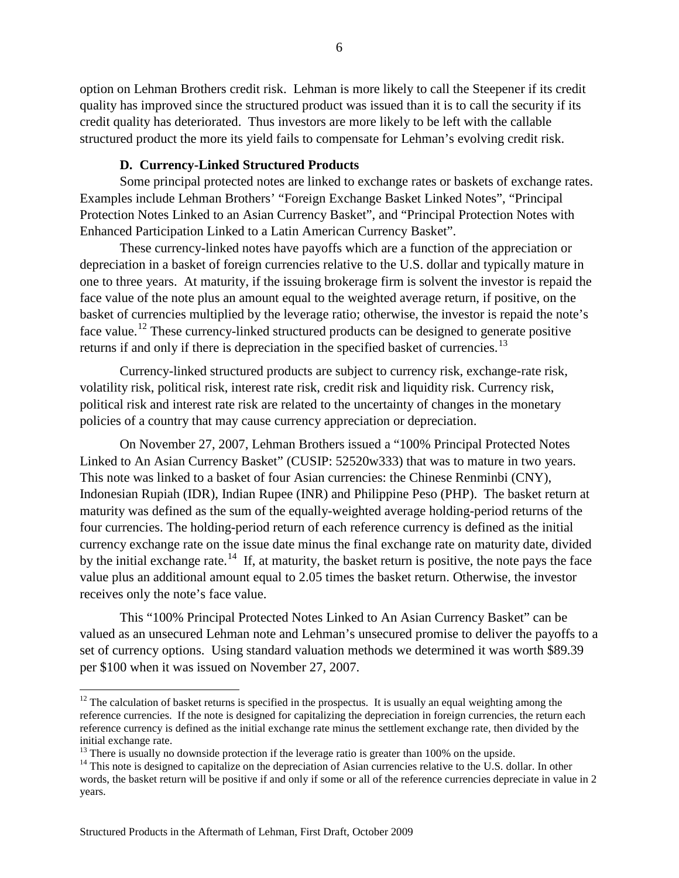option on Lehman Brothers credit risk. Lehman is more likely to call the Steepener if its credit quality has improved since the structured product was issued than it is to call the security if its credit quality has deteriorated. Thus investors are more likely to be left with the callable structured product the more its yield fails to compensate for Lehman's evolving credit risk.

#### **D. Currency-Linked Structured Products**

Some principal protected notes are linked to exchange rates or baskets of exchange rates. Examples include Lehman Brothers' "Foreign Exchange Basket Linked Notes", "Principal Protection Notes Linked to an Asian Currency Basket", and "Principal Protection Notes with Enhanced Participation Linked to a Latin American Currency Basket".

These currency-linked notes have payoffs which are a function of the appreciation or depreciation in a basket of foreign currencies relative to the U.S. dollar and typically mature in one to three years. At maturity, if the issuing brokerage firm is solvent the investor is repaid the face value of the note plus an amount equal to the weighted average return, if positive, on the basket of currencies multiplied by the leverage ratio; otherwise, the investor is repaid the note's face value.<sup>[12](#page-5-0)</sup> These currency-linked structured products can be designed to generate positive returns if and only if there is depreciation in the specified basket of currencies.<sup>[13](#page-5-1)</sup>

Currency-linked structured products are subject to currency risk, exchange-rate risk, volatility risk, political risk, interest rate risk, credit risk and liquidity risk. Currency risk, political risk and interest rate risk are related to the uncertainty of changes in the monetary policies of a country that may cause currency appreciation or depreciation.

On November 27, 2007, Lehman Brothers issued a "100% Principal Protected Notes Linked to An Asian Currency Basket" (CUSIP: 52520w333) that was to mature in two years. This note was linked to a basket of four Asian currencies: the Chinese Renminbi (CNY), Indonesian Rupiah (IDR), Indian Rupee (INR) and Philippine Peso (PHP). The basket return at maturity was defined as the sum of the equally-weighted average holding-period returns of the four currencies. The holding-period return of each reference currency is defined as the initial currency exchange rate on the issue date minus the final exchange rate on maturity date, divided by the initial exchange rate.<sup>[14](#page-5-2)</sup> If, at maturity, the basket return is positive, the note pays the face value plus an additional amount equal to 2.05 times the basket return. Otherwise, the investor receives only the note's face value.

This "100% Principal Protected Notes Linked to An Asian Currency Basket" can be valued as an unsecured Lehman note and Lehman's unsecured promise to deliver the payoffs to a set of currency options. Using standard valuation methods we determined it was worth \$89.39 per \$100 when it was issued on November 27, 2007.

<span id="page-5-0"></span> $12$  The calculation of basket returns is specified in the prospectus. It is usually an equal weighting among the reference currencies. If the note is designed for capitalizing the depreciation in foreign currencies, the return each reference currency is defined as the initial exchange rate minus the settlement exchange rate, then divided by the initial exchange rate.<br><sup>13</sup> There is usually no downside protection if the leverage ratio is greater than 100% on the upside.<br><sup>14</sup> This note is designed to capitalize on the depreciation of Asian currencies relative to th

<span id="page-5-1"></span>

<span id="page-5-2"></span>words, the basket return will be positive if and only if some or all of the reference currencies depreciate in value in 2 years.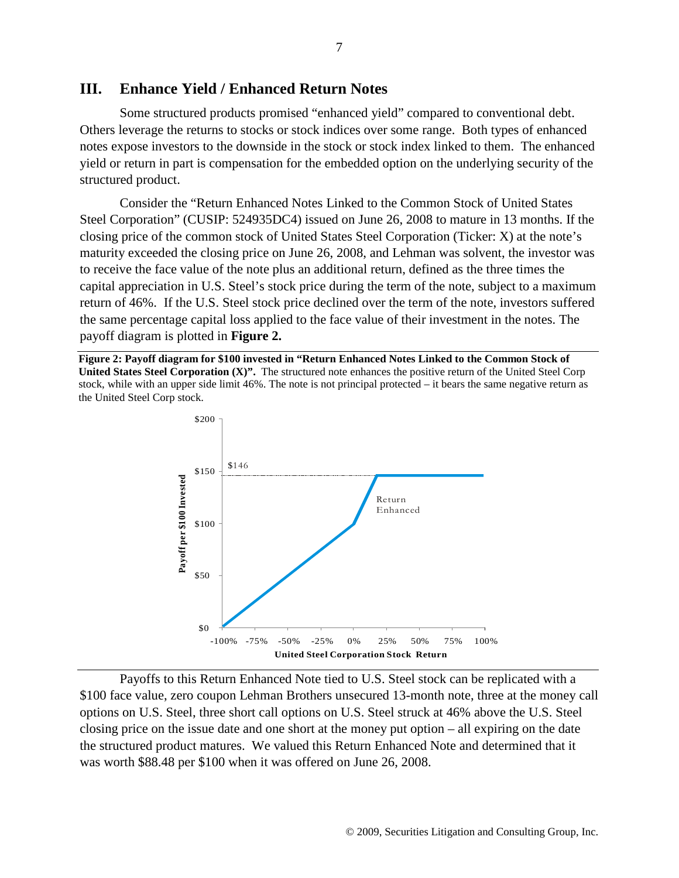#### **III. Enhance Yield / Enhanced Return Notes**

Some structured products promised "enhanced yield" compared to conventional debt. Others leverage the returns to stocks or stock indices over some range. Both types of enhanced notes expose investors to the downside in the stock or stock index linked to them. The enhanced yield or return in part is compensation for the embedded option on the underlying security of the structured product.

Consider the "Return Enhanced Notes Linked to the Common Stock of United States Steel Corporation" (CUSIP: 524935DC4) issued on June 26, 2008 to mature in 13 months. If the closing price of the common stock of United States Steel Corporation (Ticker: X) at the note's maturity exceeded the closing price on June 26, 2008, and Lehman was solvent, the investor was to receive the face value of the note plus an additional return, defined as the three times the capital appreciation in U.S. Steel's stock price during the term of the note, subject to a maximum return of 46%. If the U.S. Steel stock price declined over the term of the note, investors suffered the same percentage capital loss applied to the face value of their investment in the notes. The payoff diagram is plotted in **[Figure 2.](#page-6-0)**

<span id="page-6-0"></span>**Figure 2: Payoff diagram for \$100 invested in "Return Enhanced Notes Linked to the Common Stock of United States Steel Corporation (X)".** The structured note enhances the positive return of the United Steel Corp stock, while with an upper side limit 46%. The note is not principal protected – it bears the same negative return as the United Steel Corp stock.



Payoffs to this Return Enhanced Note tied to U.S. Steel stock can be replicated with a \$100 face value, zero coupon Lehman Brothers unsecured 13-month note, three at the money call options on U.S. Steel, three short call options on U.S. Steel struck at 46% above the U.S. Steel closing price on the issue date and one short at the money put option – all expiring on the date the structured product matures. We valued this Return Enhanced Note and determined that it was worth \$88.48 per \$100 when it was offered on June 26, 2008.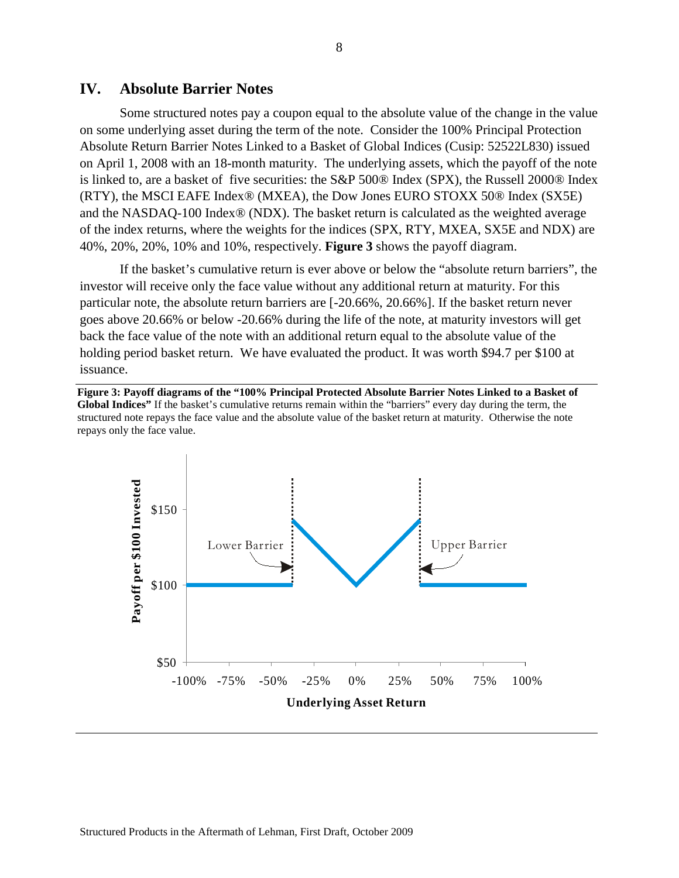#### **IV. Absolute Barrier Notes**

Some structured notes pay a coupon equal to the absolute value of the change in the value on some underlying asset during the term of the note. Consider the 100% Principal Protection Absolute Return Barrier Notes Linked to a Basket of Global Indices (Cusip: 52522L830) issued on April 1, 2008 with an 18-month maturity. The underlying assets, which the payoff of the note is linked to, are a basket of five securities: the S&P 500® Index (SPX), the Russell 2000® Index (RTY), the MSCI EAFE Index® (MXEA), the Dow Jones EURO STOXX 50® Index (SX5E) and the NASDAQ-100 Index® (NDX). The basket return is calculated as the weighted average of the index returns, where the weights for the indices (SPX, RTY, MXEA, SX5E and NDX) are 40%, 20%, 20%, 10% and 10%, respectively. **[Figure 3](#page-7-0)** shows the payoff diagram.

If the basket's cumulative return is ever above or below the "absolute return barriers", the investor will receive only the face value without any additional return at maturity. For this particular note, the absolute return barriers are [-20.66%, 20.66%]. If the basket return never goes above 20.66% or below -20.66% during the life of the note, at maturity investors will get back the face value of the note with an additional return equal to the absolute value of the holding period basket return. We have evaluated the product. It was worth \$94.7 per \$100 at issuance.

<span id="page-7-0"></span>**Figure 3: Payoff diagrams of the "100% Principal Protected Absolute Barrier Notes Linked to a Basket of Global Indices"** If the basket's cumulative returns remain within the "barriers" every day during the term, the structured note repays the face value and the absolute value of the basket return at maturity. Otherwise the note repays only the face value.

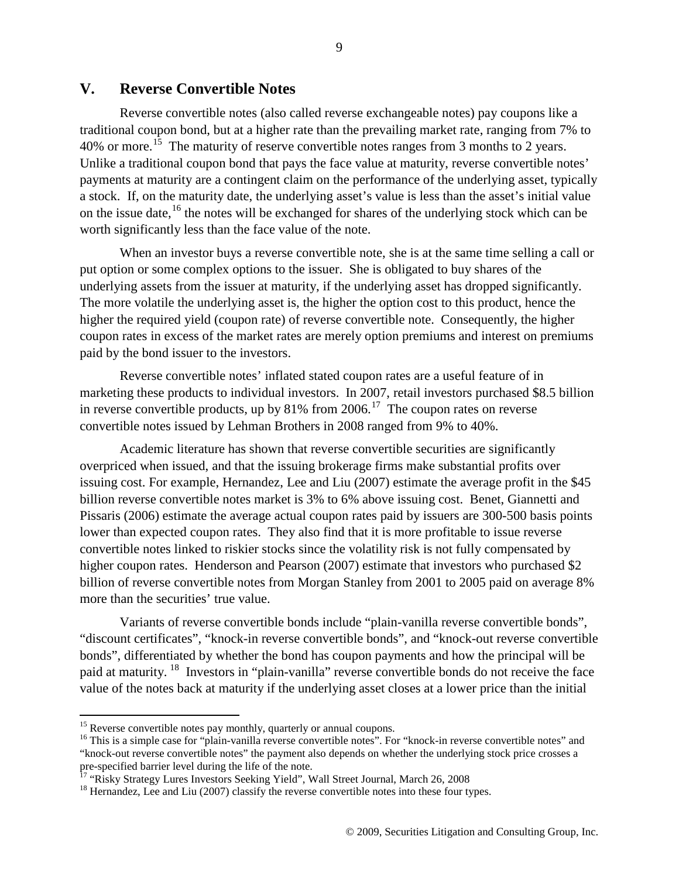### **V. Reverse Convertible Notes**

Reverse convertible notes (also called reverse exchangeable notes) pay coupons like a traditional coupon bond, but at a higher rate than the prevailing market rate, ranging from 7% to 40% or more.<sup>[15](#page-8-0)</sup> The maturity of reserve convertible notes ranges from 3 months to 2 years. Unlike a traditional coupon bond that pays the face value at maturity, reverse convertible notes' payments at maturity are a contingent claim on the performance of the underlying asset, typically a stock. If, on the maturity date, the underlying asset's value is less than the asset's initial value on the issue date, <sup>[16](#page-8-1)</sup> the notes will be exchanged for shares of the underlying stock which can be worth significantly less than the face value of the note.

When an investor buys a reverse convertible note, she is at the same time selling a call or put option or some complex options to the issuer. She is obligated to buy shares of the underlying assets from the issuer at maturity, if the underlying asset has dropped significantly. The more volatile the underlying asset is, the higher the option cost to this product, hence the higher the required yield (coupon rate) of reverse convertible note. Consequently, the higher coupon rates in excess of the market rates are merely option premiums and interest on premiums paid by the bond issuer to the investors.

Reverse convertible notes' inflated stated coupon rates are a useful feature of in marketing these products to individual investors. In 2007, retail investors purchased \$8.5 billion in reverse convertible products, up by 81% from 2006.<sup>[17](#page-8-2)</sup> The coupon rates on reverse convertible notes issued by Lehman Brothers in 2008 ranged from 9% to 40%.

Academic literature has shown that reverse convertible securities are significantly overpriced when issued, and that the issuing brokerage firms make substantial profits over issuing cost. For example, Hernandez, Lee and Liu (2007) estimate the average profit in the \$45 billion reverse convertible notes market is 3% to 6% above issuing cost. Benet, Giannetti and Pissaris (2006) estimate the average actual coupon rates paid by issuers are 300-500 basis points lower than expected coupon rates. They also find that it is more profitable to issue reverse convertible notes linked to riskier stocks since the volatility risk is not fully compensated by higher coupon rates. Henderson and Pearson (2007) estimate that investors who purchased \$2 billion of reverse convertible notes from Morgan Stanley from 2001 to 2005 paid on average 8% more than the securities' true value.

Variants of reverse convertible bonds include "plain-vanilla reverse convertible bonds", "discount certificates", "knock-in reverse convertible bonds", and "knock-out reverse convertible bonds", differentiated by whether the bond has coupon payments and how the principal will be paid at maturity. <sup>[18](#page-8-3)</sup> Investors in "plain-vanilla" reverse convertible bonds do not receive the face value of the notes back at maturity if the underlying asset closes at a lower price than the initial

<span id="page-8-0"></span><sup>&</sup>lt;sup>15</sup> Reverse convertible notes pay monthly, quarterly or annual coupons.

<span id="page-8-1"></span><sup>&</sup>lt;sup>16</sup> This is a simple case for "plain-vanilla reverse convertible notes". For "knock-in reverse convertible notes" and "knock-out reverse convertible notes" the payment also depends on whether the underlying stock price crosses a pre-specified barrier level during the life of the note.<br><sup>17</sup> "Risky Strategy Lures Investors Seeking Yield", Wall Street Journal, March 26, 2008<br><sup>18</sup> Hernandez, Lee and Liu (2007) classify the reverse convertible notes in

<span id="page-8-2"></span>

<span id="page-8-3"></span>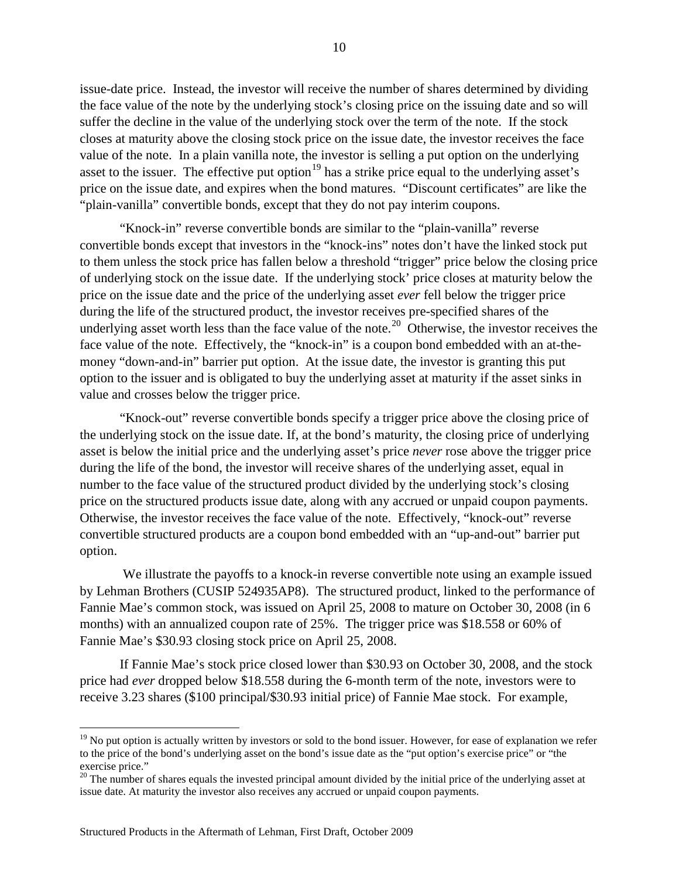issue-date price. Instead, the investor will receive the number of shares determined by dividing the face value of the note by the underlying stock's closing price on the issuing date and so will suffer the decline in the value of the underlying stock over the term of the note. If the stock closes at maturity above the closing stock price on the issue date, the investor receives the face value of the note. In a plain vanilla note, the investor is selling a put option on the underlying asset to the issuer. The effective put option<sup>[19](#page-9-0)</sup> has a strike price equal to the underlying asset's price on the issue date, and expires when the bond matures. "Discount certificates" are like the "plain-vanilla" convertible bonds, except that they do not pay interim coupons.

"Knock-in" reverse convertible bonds are similar to the "plain-vanilla" reverse convertible bonds except that investors in the "knock-ins" notes don't have the linked stock put to them unless the stock price has fallen below a threshold "trigger" price below the closing price of underlying stock on the issue date. If the underlying stock' price closes at maturity below the price on the issue date and the price of the underlying asset *ever* fell below the trigger price during the life of the structured product, the investor receives pre-specified shares of the underlying asset worth less than the face value of the note.<sup>[20](#page-9-1)</sup> Otherwise, the investor receives the face value of the note. Effectively, the "knock-in" is a coupon bond embedded with an at-themoney "down-and-in" barrier put option. At the issue date, the investor is granting this put option to the issuer and is obligated to buy the underlying asset at maturity if the asset sinks in value and crosses below the trigger price.

"Knock-out" reverse convertible bonds specify a trigger price above the closing price of the underlying stock on the issue date. If, at the bond's maturity, the closing price of underlying asset is below the initial price and the underlying asset's price *never* rose above the trigger price during the life of the bond, the investor will receive shares of the underlying asset, equal in number to the face value of the structured product divided by the underlying stock's closing price on the structured products issue date, along with any accrued or unpaid coupon payments. Otherwise, the investor receives the face value of the note. Effectively, "knock-out" reverse convertible structured products are a coupon bond embedded with an "up-and-out" barrier put option.

We illustrate the payoffs to a knock-in reverse convertible note using an example issued by Lehman Brothers (CUSIP 524935AP8). The structured product, linked to the performance of Fannie Mae's common stock, was issued on April 25, 2008 to mature on October 30, 2008 (in 6 months) with an annualized coupon rate of 25%. The trigger price was \$18.558 or 60% of Fannie Mae's \$30.93 closing stock price on April 25, 2008.

If Fannie Mae's stock price closed lower than \$30.93 on October 30, 2008, and the stock price had *ever* dropped below \$18.558 during the 6-month term of the note, investors were to receive 3.23 shares (\$100 principal/\$30.93 initial price) of Fannie Mae stock. For example,

<span id="page-9-0"></span> $19$  No put option is actually written by investors or sold to the bond issuer. However, for ease of explanation we refer to the price of the bond's underlying asset on the bond's issue date as the "put option's exercise price" or "the exercise price."

<span id="page-9-1"></span> $20$  The number of shares equals the invested principal amount divided by the initial price of the underlying asset at issue date. At maturity the investor also receives any accrued or unpaid coupon payments.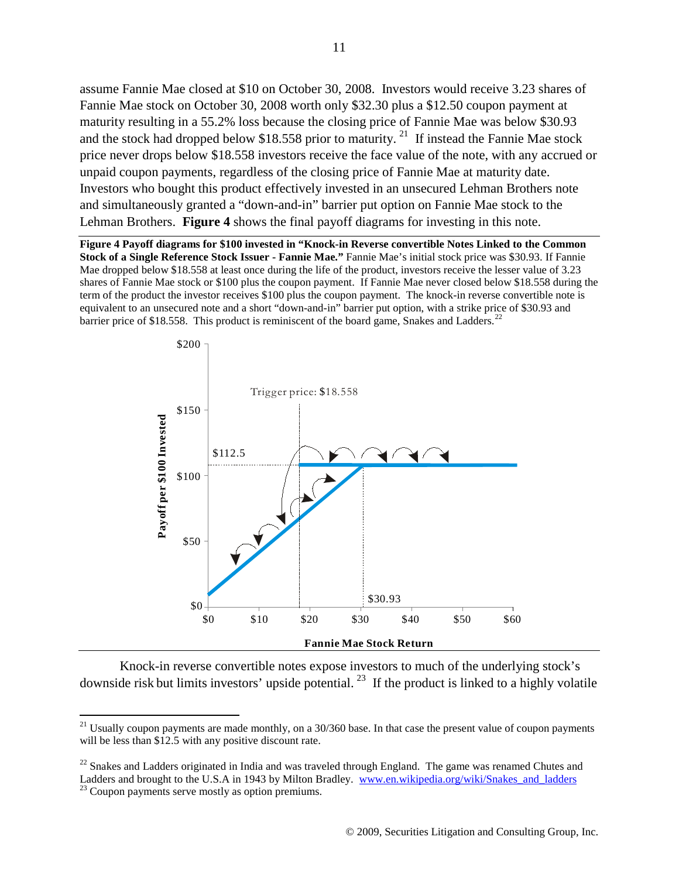assume Fannie Mae closed at \$10 on October 30, 2008. Investors would receive 3.23 shares of Fannie Mae stock on October 30, 2008 worth only \$32.30 plus a \$12.50 coupon payment at maturity resulting in a 55.2% loss because the closing price of Fannie Mae was below \$30.93 and the stock had dropped below \$18.558 prior to maturity.<sup>[21](#page-10-1)</sup> If instead the Fannie Mae stock Lehman Brothers. Figure 4 shows the final payoff diagrams for investing in this note. price never drops below \$18.558 investors receive the face value of the note, with any accrued or unpaid coupon payments, regardless of the closing price of Fannie Mae at maturity date. Investors who bought this product effectively invested in an unsecured Lehman Brothers note and simultaneously granted a "down-and-in" barrier put option on Fannie Mae stock to the

<span id="page-10-0"></span>**Figure 4 Payoff diagrams for \$100 invested in "Knock-in Reverse convertible Notes Linked to the Common Stock of a Single Reference Stock Issuer - Fannie Mae."** Fannie Mae's initial stock price was \$30.93. If Fannie Mae dropped below \$18.558 at least once during the life of the product, investors receive the lesser value of 3.23 shares of Fannie Mae stock or \$100 plus the coupon payment. If Fannie Mae never closed below \$18.558 during the term of the product the investor receives \$100 plus the coupon payment. The knock-in reverse convertible note is equivalent to an unsecured note and a short "down-and-in" barrier put option, with a strike price of \$30.93 and barrier price of \$18.558. This product is reminiscent of the board game, Snakes and Ladders.<sup>[22](#page-10-3)</sup>



Knock-in reverse convertible notes expose investors to much of the underlying stock's downside risk but limits investors' upside potential.<sup>[23](#page-10-2)</sup> If the product is linked to a highly volatile

<span id="page-10-1"></span><sup>&</sup>lt;sup>21</sup> Usually coupon payments are made monthly, on a  $30/360$  base. In that case the present value of coupon payments will be less than \$12.5 with any positive discount rate.

<span id="page-10-3"></span><span id="page-10-2"></span> $^{22}$  Snakes and Ladders originated in India and was traveled through England. The game was renamed Chutes and Ladders and brought to the U.S.A in 1943 by Milton Bradley. [www.en.wikipedia.org/wiki/Snakes\\_and\\_ladders](http://www.en.wikipedia.org/wiki/Snakes_and_ladders) <sup>23</sup> Coupon payments serve mostly as option premiums.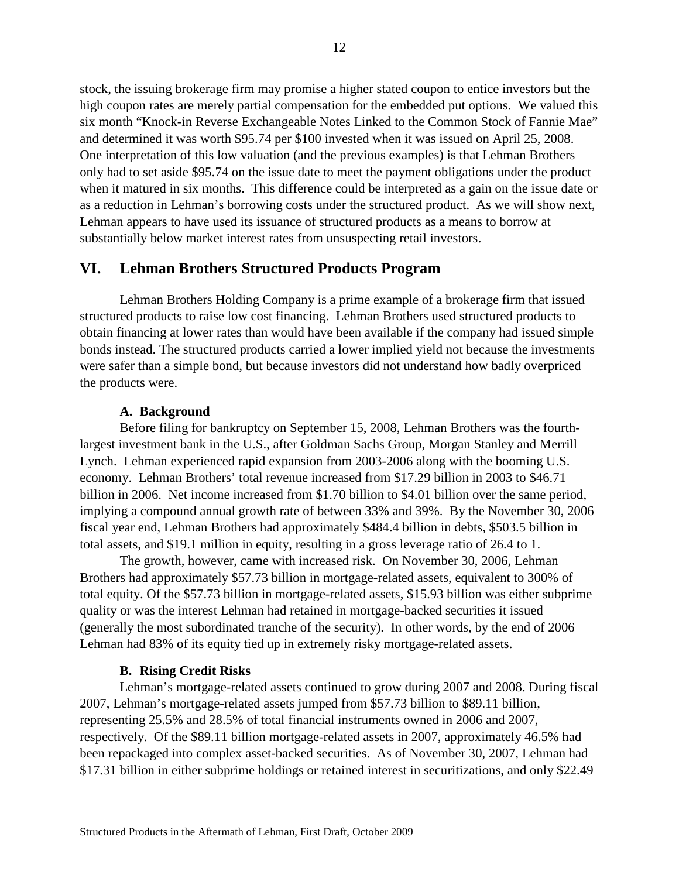stock, the issuing brokerage firm may promise a higher stated coupon to entice investors but the high coupon rates are merely partial compensation for the embedded put options. We valued this six month "Knock-in Reverse Exchangeable Notes Linked to the Common Stock of Fannie Mae" and determined it was worth \$95.74 per \$100 invested when it was issued on April 25, 2008. One interpretation of this low valuation (and the previous examples) is that Lehman Brothers only had to set aside \$95.74 on the issue date to meet the payment obligations under the product when it matured in six months. This difference could be interpreted as a gain on the issue date or as a reduction in Lehman's borrowing costs under the structured product. As we will show next, Lehman appears to have used its issuance of structured products as a means to borrow at substantially below market interest rates from unsuspecting retail investors.

## **VI. Lehman Brothers Structured Products Program**

Lehman Brothers Holding Company is a prime example of a brokerage firm that issued structured products to raise low cost financing. Lehman Brothers used structured products to obtain financing at lower rates than would have been available if the company had issued simple bonds instead. The structured products carried a lower implied yield not because the investments were safer than a simple bond, but because investors did not understand how badly overpriced the products were.

#### **A. Background**

Before filing for bankruptcy on September 15, 2008, Lehman Brothers was the fourthlargest investment bank in the U.S., after Goldman Sachs Group, Morgan Stanley and Merrill Lynch. Lehman experienced rapid expansion from 2003-2006 along with the booming U.S. economy. Lehman Brothers' total revenue increased from \$17.29 billion in 2003 to \$46.71 billion in 2006. Net income increased from \$1.70 billion to \$4.01 billion over the same period, implying a compound annual growth rate of between 33% and 39%. By the November 30, 2006 fiscal year end, Lehman Brothers had approximately \$484.4 billion in debts, \$503.5 billion in total assets, and \$19.1 million in equity, resulting in a gross leverage ratio of 26.4 to 1.

The growth, however, came with increased risk. On November 30, 2006, Lehman Brothers had approximately \$57.73 billion in mortgage-related assets, equivalent to 300% of total equity. Of the \$57.73 billion in mortgage-related assets, \$15.93 billion was either subprime quality or was the interest Lehman had retained in mortgage-backed securities it issued (generally the most subordinated tranche of the security). In other words, by the end of 2006 Lehman had 83% of its equity tied up in extremely risky mortgage-related assets.

#### **B. Rising Credit Risks**

Lehman's mortgage-related assets continued to grow during 2007 and 2008. During fiscal 2007, Lehman's mortgage-related assets jumped from \$57.73 billion to \$89.11 billion, representing 25.5% and 28.5% of total financial instruments owned in 2006 and 2007, respectively. Of the \$89.11 billion mortgage-related assets in 2007, approximately 46.5% had been repackaged into complex asset-backed securities. As of November 30, 2007, Lehman had \$17.31 billion in either subprime holdings or retained interest in securitizations, and only \$22.49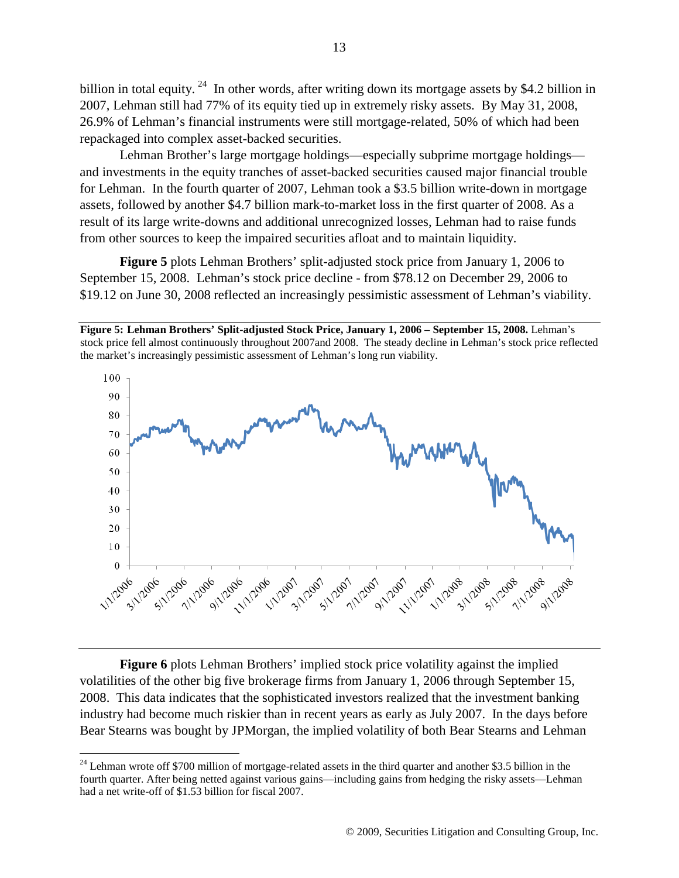billion in total equity. <sup>[24](#page-12-1)</sup> In other words, after writing down its mortgage assets by \$4.2 billion in 2007, Lehman still had 77% of its equity tied up in extremely risky assets. By May 31, 2008, 26.9% of Lehman's financial instruments were still mortgage-related, 50% of which had been repackaged into complex asset-backed securities.

Lehman Brother's large mortgage holdings—especially subprime mortgage holdings and investments in the equity tranches of asset-backed securities caused major financial trouble for Lehman. In the fourth quarter of 2007, Lehman took a \$3.5 billion write-down in mortgage assets, followed by another \$4.7 billion mark-to-market loss in the first quarter of 2008. As a result of its large write-downs and additional unrecognized losses, Lehman had to raise funds from other sources to keep the impaired securities afloat and to maintain liquidity.

**[Figure 5](#page-12-0)** plots Lehman Brothers' split-adjusted stock price from January 1, 2006 to September 15, 2008. Lehman's stock price decline - from \$78.12 on December 29, 2006 to \$19.12 on June 30, 2008 reflected an increasingly pessimistic assessment of Lehman's viability.

<span id="page-12-0"></span>**Figure 5: Lehman Brothers' Split-adjusted Stock Price, January 1, 2006 – September 15, 2008.** Lehman's stock price fell almost continuously throughout 2007and 2008. The steady decline in Lehman's stock price reflected the market's increasingly pessimistic assessment of Lehman's long run viability.



**[Figure 6](#page-13-0)** plots Lehman Brothers' implied stock price volatility against the implied volatilities of the other big five brokerage firms from January 1, 2006 through September 15, 2008. This data indicates that the sophisticated investors realized that the investment banking industry had become much riskier than in recent years as early as July 2007. In the days before Bear Stearns was bought by JPMorgan, the implied volatility of both Bear Stearns and Lehman

<span id="page-12-1"></span> $^{24}$  Lehman wrote off \$700 million of mortgage-related assets in the third quarter and another \$3.5 billion in the fourth quarter. After being netted against various gains—including gains from hedging the risky assets—Lehman had a net write-off of \$1.53 billion for fiscal 2007.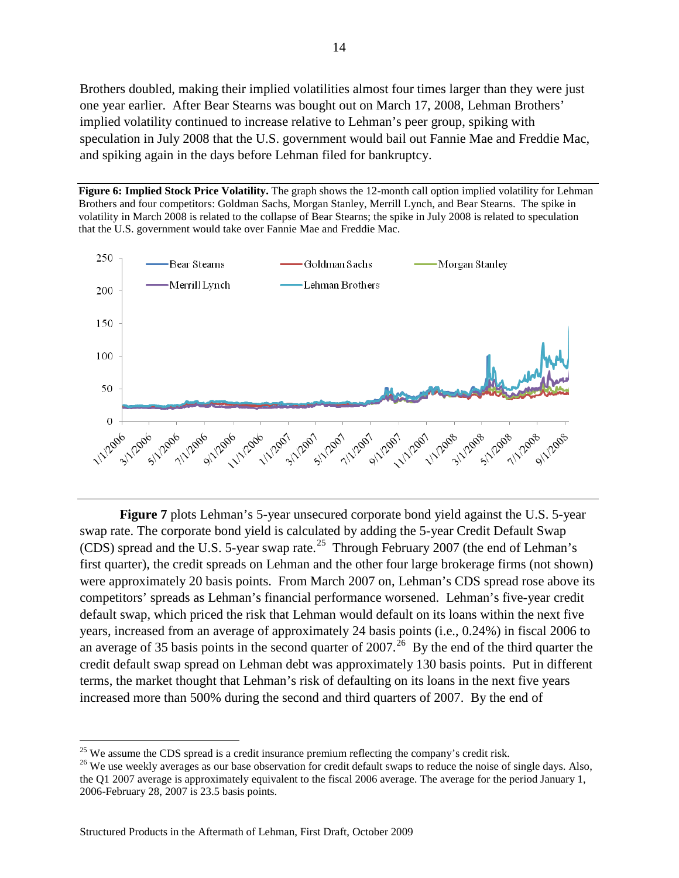Brothers doubled, making their implied volatilities almost four times larger than they were just one year earlier. After Bear Stearns was bought out on March 17, 2008, Lehman Brothers' implied volatility continued to increase relative to Lehman's peer group, spiking with speculation in July 2008 that the U.S. government would bail out Fannie Mae and Freddie Mac, and spiking again in the days before Lehman filed for bankruptcy.

<span id="page-13-0"></span>



**[Figure 7](#page-14-0)** plots Lehman's 5-year unsecured corporate bond yield against the U.S. 5-year swap rate. The corporate bond yield is calculated by adding the 5-year Credit Default Swap (CDS) spread and the U.S. 5-year swap rate.<sup>[25](#page-13-1)</sup> Through February 2007 (the end of Lehman's first quarter), the credit spreads on Lehman and the other four large brokerage firms (not shown) were approximately 20 basis points. From March 2007 on, Lehman's CDS spread rose above its competitors' spreads as Lehman's financial performance worsened. Lehman's five-year credit default swap, which priced the risk that Lehman would default on its loans within the next five years, increased from an average of approximately 24 basis points (i.e., 0.24%) in fiscal 2006 to an average of 35 basis points in the second quarter of  $2007<sup>26</sup>$  $2007<sup>26</sup>$  $2007<sup>26</sup>$  By the end of the third quarter the credit default swap spread on Lehman debt was approximately 130 basis points. Put in different terms, the market thought that Lehman's risk of defaulting on its loans in the next five years increased more than 500% during the second and third quarters of 2007. By the end of

<span id="page-13-1"></span> $25$  We assume the CDS spread is a credit insurance premium reflecting the company's credit risk.

<span id="page-13-2"></span><sup>&</sup>lt;sup>26</sup> We use weekly averages as our base observation for credit default swaps to reduce the noise of single days. Also, the Q1 2007 average is approximately equivalent to the fiscal 2006 average. The average for the period January 1, 2006-February 28, 2007 is 23.5 basis points.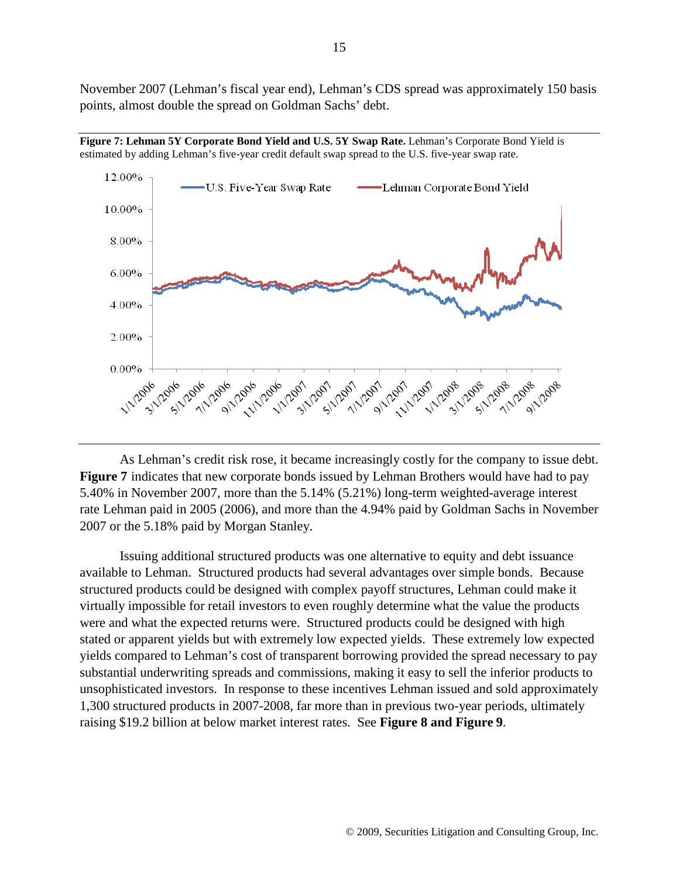November 2007 (Lehman's fiscal year end), Lehman's CDS spread was approximately 150 basis points, almost double the spread on Goldman Sachs' debt.



<span id="page-14-0"></span>**Figure 7: Lehman 5Y Corporate Bond Yield and U.S. 5Y Swap Rate.** Lehman's Corporate Bond Yield is estimated by adding Lehman's five-year credit default swap spread to the U.S. five-year swap rate.

As Lehman's credit risk rose, it became increasingly costly for the company to issue debt. **[Figure 7](#page-14-0)** indicates that new corporate bonds issued by Lehman Brothers would have had to pay 5.40% in November 2007, more than the 5.14% (5.21%) long-term weighted-average interest rate Lehman paid in 2005 (2006), and more than the 4.94% paid by Goldman Sachs in November 2007 or the 5.18% paid by Morgan Stanley.

Issuing additional structured products was one alternative to equity and debt issuance available to Lehman. Structured products had several advantages over simple bonds. Because structured products could be designed with complex payoff structures, Lehman could make it virtually impossible for retail investors to even roughly determine what the value the products were and what the expected returns were. Structured products could be designed with high stated or apparent yields but with extremely low expected yields. These extremely low expected yields compared to Lehman's cost of transparent borrowing provided the spread necessary to pay substantial underwriting spreads and commissions, making it easy to sell the inferior products to unsophisticated investors. In response to these incentives Lehman issued and sold approximately 1,300 structured products in 2007-2008, far more than in previous two-year periods, ultimately raising \$19.2 billion at below market interest rates. See **[Figure 8](#page-15-0) and [Figure](#page-15-1) 9**.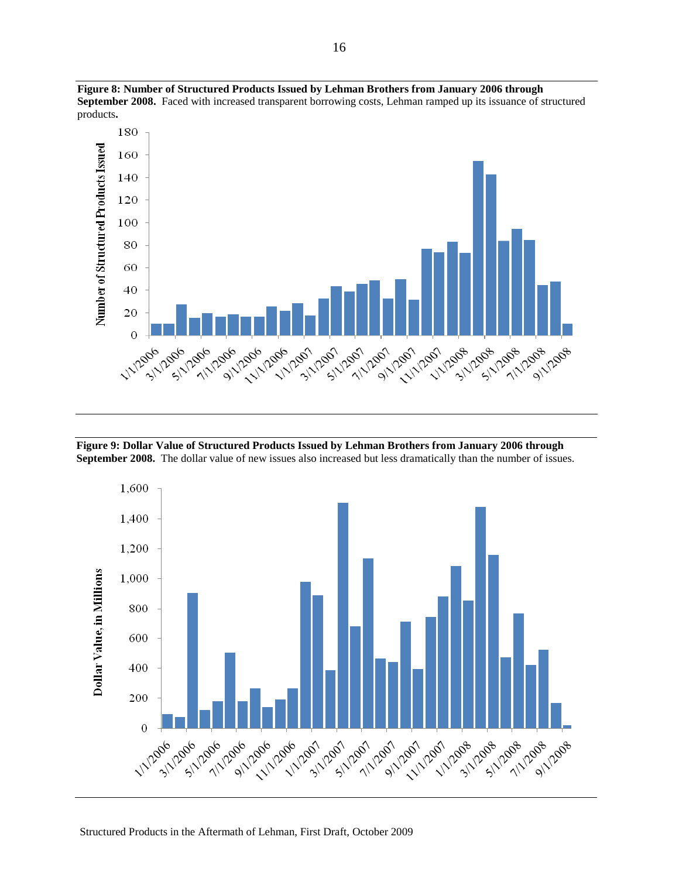

<span id="page-15-0"></span>**Figure 8: Number of Structured Products Issued by Lehman Brothers from January 2006 through September 2008.** Faced with increased transparent borrowing costs, Lehman ramped up its issuance of structured products**.**

<span id="page-15-1"></span>**Figure 9: Dollar Value of Structured Products Issued by Lehman Brothers from January 2006 through September 2008.** The dollar value of new issues also increased but less dramatically than the number of issues.

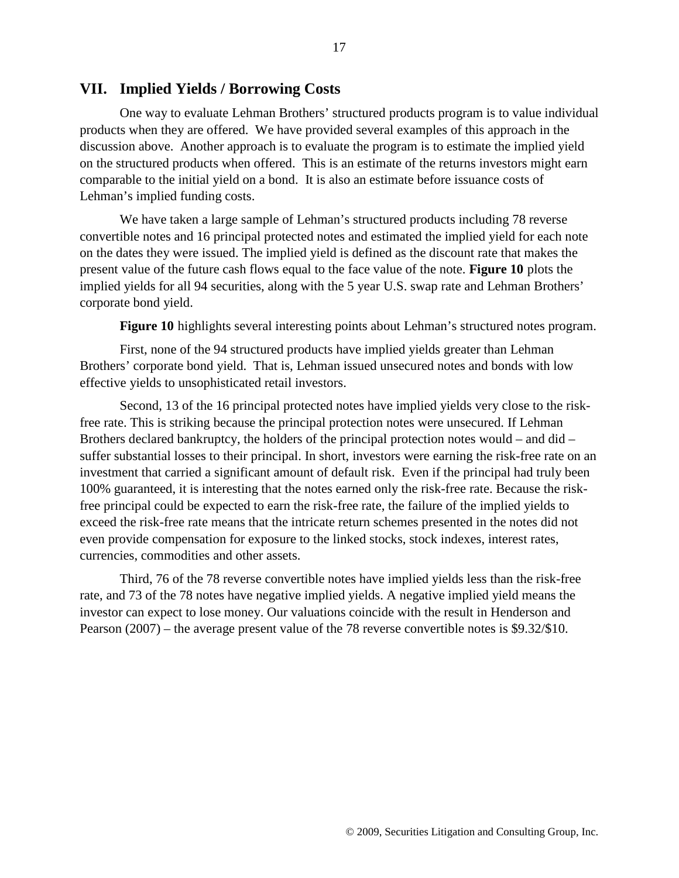### **VII. Implied Yields / Borrowing Costs**

One way to evaluate Lehman Brothers' structured products program is to value individual products when they are offered. We have provided several examples of this approach in the discussion above. Another approach is to evaluate the program is to estimate the implied yield on the structured products when offered. This is an estimate of the returns investors might earn comparable to the initial yield on a bond. It is also an estimate before issuance costs of Lehman's implied funding costs.

We have taken a large sample of Lehman's structured products including 78 reverse convertible notes and 16 principal protected notes and estimated the implied yield for each note on the dates they were issued. The implied yield is defined as the discount rate that makes the present value of the future cash flows equal to the face value of the note. **[Figure 10](#page-17-0)** plots the implied yields for all 94 securities, along with the 5 year U.S. swap rate and Lehman Brothers' corporate bond yield.

**[Figure 10](#page-17-0)** highlights several interesting points about Lehman's structured notes program.

First, none of the 94 structured products have implied yields greater than Lehman Brothers' corporate bond yield. That is, Lehman issued unsecured notes and bonds with low effective yields to unsophisticated retail investors.

Second, 13 of the 16 principal protected notes have implied yields very close to the riskfree rate. This is striking because the principal protection notes were unsecured. If Lehman Brothers declared bankruptcy, the holders of the principal protection notes would – and did – suffer substantial losses to their principal. In short, investors were earning the risk-free rate on an investment that carried a significant amount of default risk. Even if the principal had truly been 100% guaranteed, it is interesting that the notes earned only the risk-free rate. Because the riskfree principal could be expected to earn the risk-free rate, the failure of the implied yields to exceed the risk-free rate means that the intricate return schemes presented in the notes did not even provide compensation for exposure to the linked stocks, stock indexes, interest rates, currencies, commodities and other assets.

Third, 76 of the 78 reverse convertible notes have implied yields less than the risk-free rate, and 73 of the 78 notes have negative implied yields. A negative implied yield means the investor can expect to lose money. Our valuations coincide with the result in Henderson and Pearson (2007) – the average present value of the 78 reverse convertible notes is \$9.32/\$10.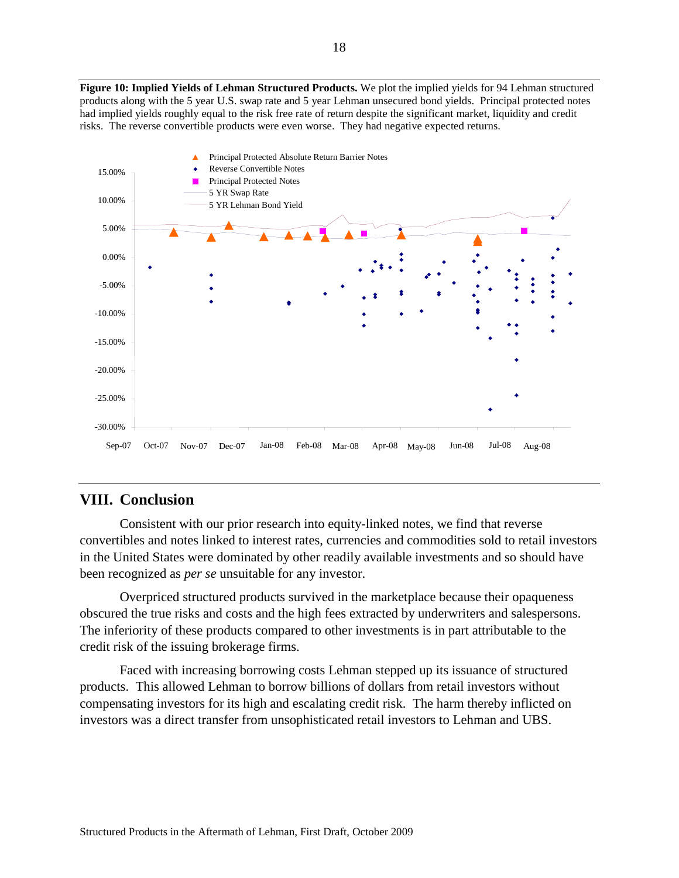<span id="page-17-0"></span>**Figure 10: Implied Yields of Lehman Structured Products.** We plot the implied yields for 94 Lehman structured products along with the 5 year U.S. swap rate and 5 year Lehman unsecured bond yields. Principal protected notes had implied yields roughly equal to the risk free rate of return despite the significant market, liquidity and credit risks. The reverse convertible products were even worse. They had negative expected returns.



## **VIII. Conclusion**

Consistent with our prior research into equity-linked notes, we find that reverse convertibles and notes linked to interest rates, currencies and commodities sold to retail investors in the United States were dominated by other readily available investments and so should have been recognized as *per se* unsuitable for any investor.

Overpriced structured products survived in the marketplace because their opaqueness obscured the true risks and costs and the high fees extracted by underwriters and salespersons. The inferiority of these products compared to other investments is in part attributable to the credit risk of the issuing brokerage firms.

Faced with increasing borrowing costs Lehman stepped up its issuance of structured products. This allowed Lehman to borrow billions of dollars from retail investors without compensating investors for its high and escalating credit risk. The harm thereby inflicted on investors was a direct transfer from unsophisticated retail investors to Lehman and UBS.